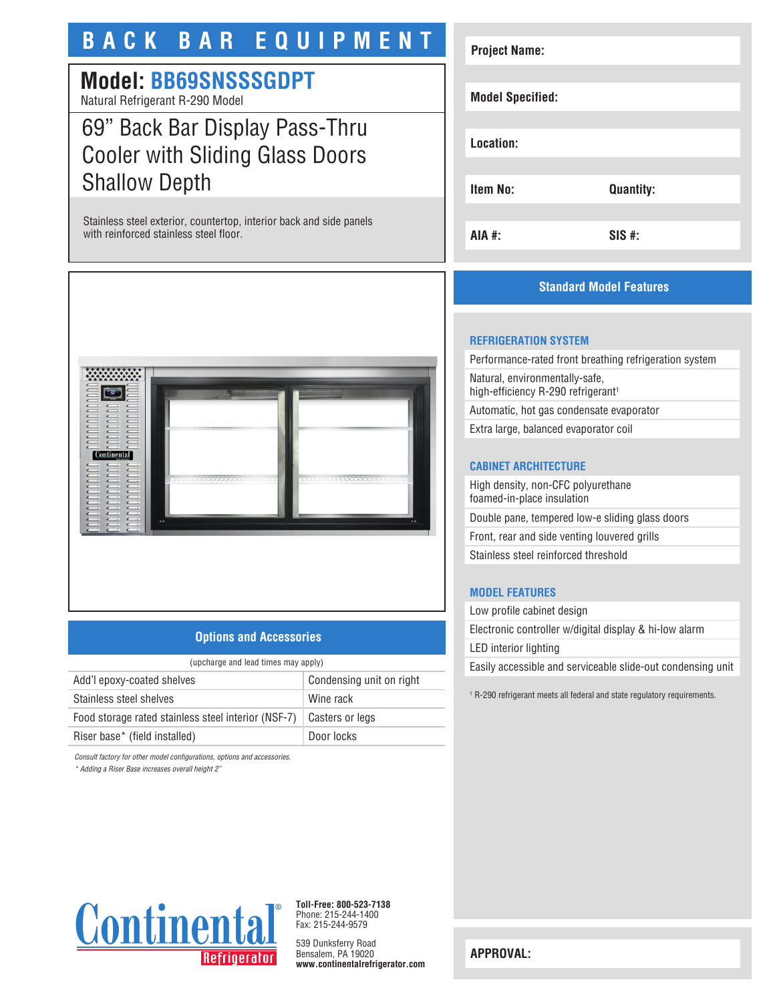# **BACK BAR EQUIPMENT**

# **Model: BB69SNSSSGDPT**

Natural Refrigerant R-290 Model

# 69" Back Bar Display Pass-Thru Cooler with Sliding Glass Doors Shallow Depth

Stainless steel exterior, countertop, interior back and side panels with reinforced stainless steel floor.



## **Options and Accessories**

| (upcharge and lead times may apply)                 |                          |
|-----------------------------------------------------|--------------------------|
| Add'l epoxy-coated shelves                          | Condensing unit on right |
| Stainless steel shelves                             | Wine rack                |
| Food storage rated stainless steel interior (NSF-7) | Casters or legs          |
| Riser base* (field installed)                       | Door locks               |
|                                                     |                          |

*Consult factory for other model configurations, options and accessories.*

*\* Adding a Riser Base increases overall height 2"*

# **Project Name: Model Specified: Location: Item No: Quantity: AIA #: SIS #:**

## **Standard Model Features**

#### **REFRIGERATION SYSTEM**

Performance-rated front breathing refrigeration system Natural, environmentally-safe, high-efficiency R-290 refrigerant<sup>1</sup> Automatic, hot gas condensate evaporator

Extra large, balanced evaporator coil

## **CABINET ARCHITECTURE**

High density, non-CFC polyurethane foamed-in-place insulation Double pane, tempered low-e sliding glass doors Front, rear and side venting louvered grills Stainless steel reinforced threshold

## **MODEL FEATURES**

Low profile cabinet design Electronic controller w/digital display & hi-low alarm LED interior lighting Easily accessible and serviceable slide-out condensing unit

1 R-290 refrigerant meets all federal and state regulatory requirements.



**Toll-Free: 800-523-7138** Phone: 215-244-1400 Fax: 215-244-9579

539 Dunksferry Road Bensalem, PA 19020 **www.continentalrefrigerator.com** 

**APPROVAL:**